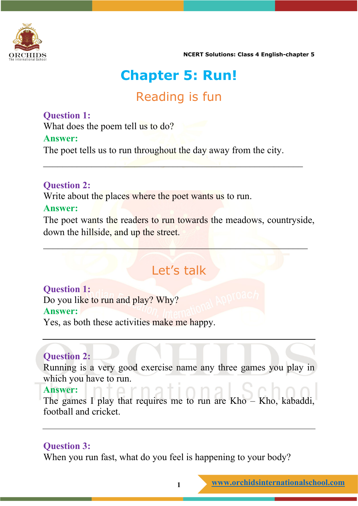

# **Chapter 5: Run!**

## Reading is fun

### **Question 1:**

What does the poem tell us to do?

### **Answer:**

The poet tells us to run throughout the day away from the city.

 $\mathcal{L}_\mathcal{A}$  , and the contribution of  $\mathcal{L}_\mathcal{A}$  , and the contribution of  $\mathcal{L}_\mathcal{A}$ 

### **Question 2:**

Write about the places where the poet wants us to run.

### **Answer:**

The poet wants the readers to run towards the meadows, countryside, down the hillside, and up the street.

 $\mathcal{L}=\{x\in\mathbb{R}^n\mid x\in\mathbb{R}^n\mid x\in\mathbb{R}^n\mid x\in\mathbb{R}^n\}$ 

## Let's talk

#### **Question 1:** Do you like to run and play? Why? **Answer:**

Yes, as both these activities make me happy.

## **Question 2:**

Running is a very good exercise name any three games you play in which you have to run.

### **Answer:**

The games I play that requires me to run are Kho – Kho, kabaddi, football and cricket.

### **Question 3:**

When you run fast, what do you feel is happening to your body?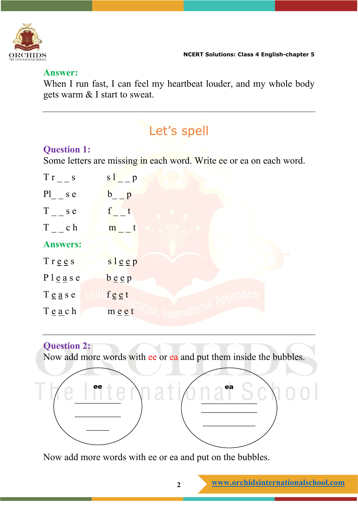

#### **Answer:**

When I run fast, I can feel my heartbeat louder, and my whole body gets warm & I start to sweat.

# Let's spell

## **Question 1:**

Some letters are missing in each word. Write ee or ea on each word.

| $Tr_{--}$ s                         | $s1$ p                            |
|-------------------------------------|-----------------------------------|
| $\text{Pl}_{-}$ s e                 | $b_{-}$ $p$                       |
| $T_{-}$ s e                         | $f$ t                             |
| $T_{-}$ ch                          | $m$ <sub>__</sub> t               |
| <b>Answers:</b>                     |                                   |
| $T$ rees                            | $s \lg e p$                       |
| P l e a s e                         | $b \underline{e} \underline{e} p$ |
| $T \underline{e} a s e$             | $f \underline{e} \underline{e} t$ |
| $T \underline{e} \underline{a} c h$ | meet                              |

## **Question 2:**

Now add more words with ee or ea and put them inside the bubbles.



Now add more words with ee or ea and put on the bubbles.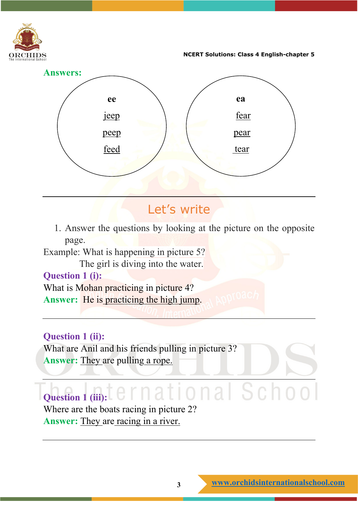



## Let's write

1. Answer the questions by looking at the picture on the opposite page.

Example: What is happening in picture 5?

The girl is diving into the water.

## **Question 1 (i):**

What is Mohan practicing in picture 4? **Answer:** He is practicing the high jump.

## **Question 1 (ii):**

What are Anil and his friends pulling in picture 3? Answer: They are pulling a rope.

## onal Schoo **Question 1 (iii):**

Where are the boats racing in picture 2? **Answer:** They are racing in a river.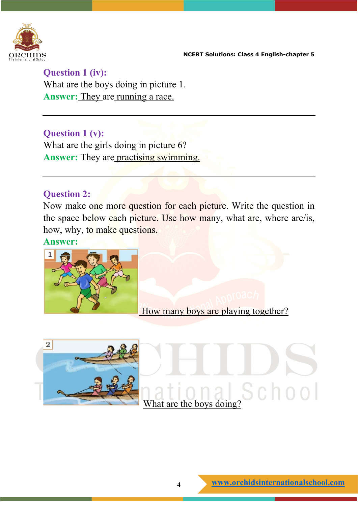

**Question 1 (iv):** What are the boys doing in picture 1. **Answer:** They are running a race.

### **Question 1 (v):**

What are the girls doing in picture 6? **Answer:** They are practising swimming.

### **Question 2:**

Now make one more question for each picture. Write the question in the space below each picture. Use how many, what are, where are/is, how, why, to make questions.

**Answer:**



How many boys are playing together?